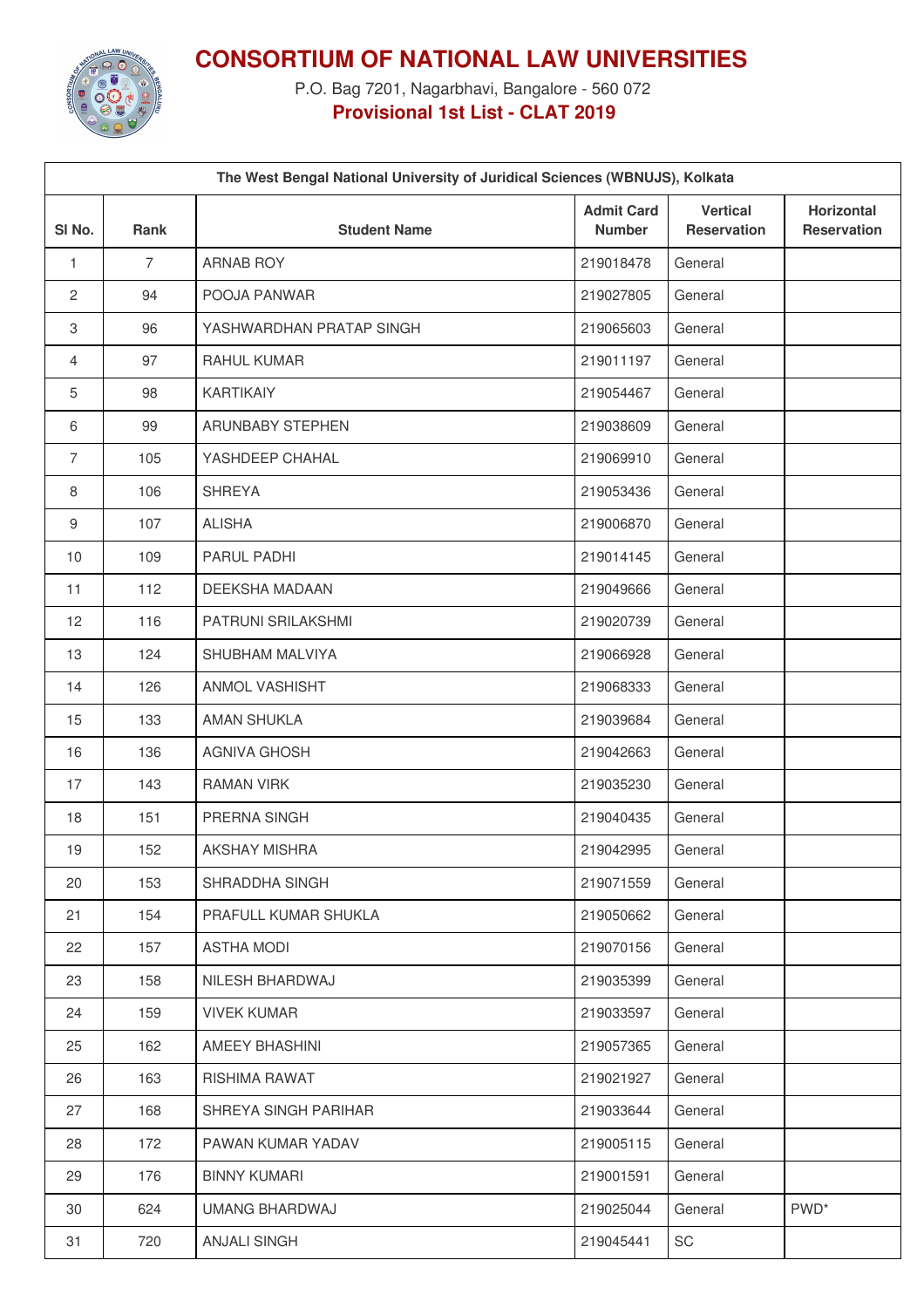

**CONSORTIUM OF NATIONAL LAW UNIVERSITIES**

P.O. Bag 7201, Nagarbhavi, Bangalore - 560 072 **Provisional 1st List - CLAT 2019**

| The West Bengal National University of Juridical Sciences (WBNUJS), Kolkata |                |                          |                                    |                                       |                                  |  |  |  |
|-----------------------------------------------------------------------------|----------------|--------------------------|------------------------------------|---------------------------------------|----------------------------------|--|--|--|
| SI <sub>No.</sub>                                                           | <b>Rank</b>    | <b>Student Name</b>      | <b>Admit Card</b><br><b>Number</b> | <b>Vertical</b><br><b>Reservation</b> | Horizontal<br><b>Reservation</b> |  |  |  |
| $\mathbf{1}$                                                                | $\overline{7}$ | <b>ARNAB ROY</b>         | 219018478                          | General                               |                                  |  |  |  |
| $\overline{2}$                                                              | 94             | POOJA PANWAR             | 219027805                          | General                               |                                  |  |  |  |
| 3                                                                           | 96             | YASHWARDHAN PRATAP SINGH | 219065603                          | General                               |                                  |  |  |  |
| 4                                                                           | 97             | <b>RAHUL KUMAR</b>       | 219011197                          | General                               |                                  |  |  |  |
| 5                                                                           | 98             | <b>KARTIKAIY</b>         | 219054467                          | General                               |                                  |  |  |  |
| 6                                                                           | 99             | ARUNBABY STEPHEN         | 219038609                          | General                               |                                  |  |  |  |
| $\overline{7}$                                                              | 105            | YASHDEEP CHAHAL          | 219069910                          | General                               |                                  |  |  |  |
| 8                                                                           | 106            | <b>SHREYA</b>            | 219053436                          | General                               |                                  |  |  |  |
| 9                                                                           | 107            | <b>ALISHA</b>            | 219006870                          | General                               |                                  |  |  |  |
| 10                                                                          | 109            | PARUL PADHI              | 219014145                          | General                               |                                  |  |  |  |
| 11                                                                          | 112            | DEEKSHA MADAAN           | 219049666                          | General                               |                                  |  |  |  |
| 12                                                                          | 116            | PATRUNI SRILAKSHMI       | 219020739                          | General                               |                                  |  |  |  |
| 13                                                                          | 124            | SHUBHAM MALVIYA          | 219066928                          | General                               |                                  |  |  |  |
| 14                                                                          | 126            | ANMOL VASHISHT           | 219068333                          | General                               |                                  |  |  |  |
| 15                                                                          | 133            | AMAN SHUKLA              | 219039684                          | General                               |                                  |  |  |  |
| 16                                                                          | 136            | <b>AGNIVA GHOSH</b>      | 219042663                          | General                               |                                  |  |  |  |
| 17                                                                          | 143            | <b>RAMAN VIRK</b>        | 219035230                          | General                               |                                  |  |  |  |
| 18                                                                          | 151            | PRERNA SINGH             | 219040435                          | General                               |                                  |  |  |  |
| 19                                                                          | 152            | <b>AKSHAY MISHRA</b>     | 219042995                          | General                               |                                  |  |  |  |
| 20                                                                          | 153            | SHRADDHA SINGH           | 219071559                          | General                               |                                  |  |  |  |
| 21                                                                          | 154            | PRAFULL KUMAR SHUKLA     | 219050662                          | General                               |                                  |  |  |  |
| 22                                                                          | 157            | <b>ASTHA MODI</b>        | 219070156                          | General                               |                                  |  |  |  |
| 23                                                                          | 158            | NILESH BHARDWAJ          | 219035399                          | General                               |                                  |  |  |  |
| 24                                                                          | 159            | <b>VIVEK KUMAR</b>       | 219033597                          | General                               |                                  |  |  |  |
| 25                                                                          | 162            | AMEEY BHASHINI           | 219057365                          | General                               |                                  |  |  |  |
| 26                                                                          | 163            | <b>RISHIMA RAWAT</b>     | 219021927                          | General                               |                                  |  |  |  |
| 27                                                                          | 168            | SHREYA SINGH PARIHAR     | 219033644                          | General                               |                                  |  |  |  |
| 28                                                                          | 172            | PAWAN KUMAR YADAV        | 219005115                          | General                               |                                  |  |  |  |
| 29                                                                          | 176            | <b>BINNY KUMARI</b>      | 219001591                          | General                               |                                  |  |  |  |
| 30                                                                          | 624            | UMANG BHARDWAJ           | 219025044                          | General                               | PWD <sup>*</sup>                 |  |  |  |
| 31                                                                          | 720            | <b>ANJALI SINGH</b>      | 219045441                          | SC                                    |                                  |  |  |  |